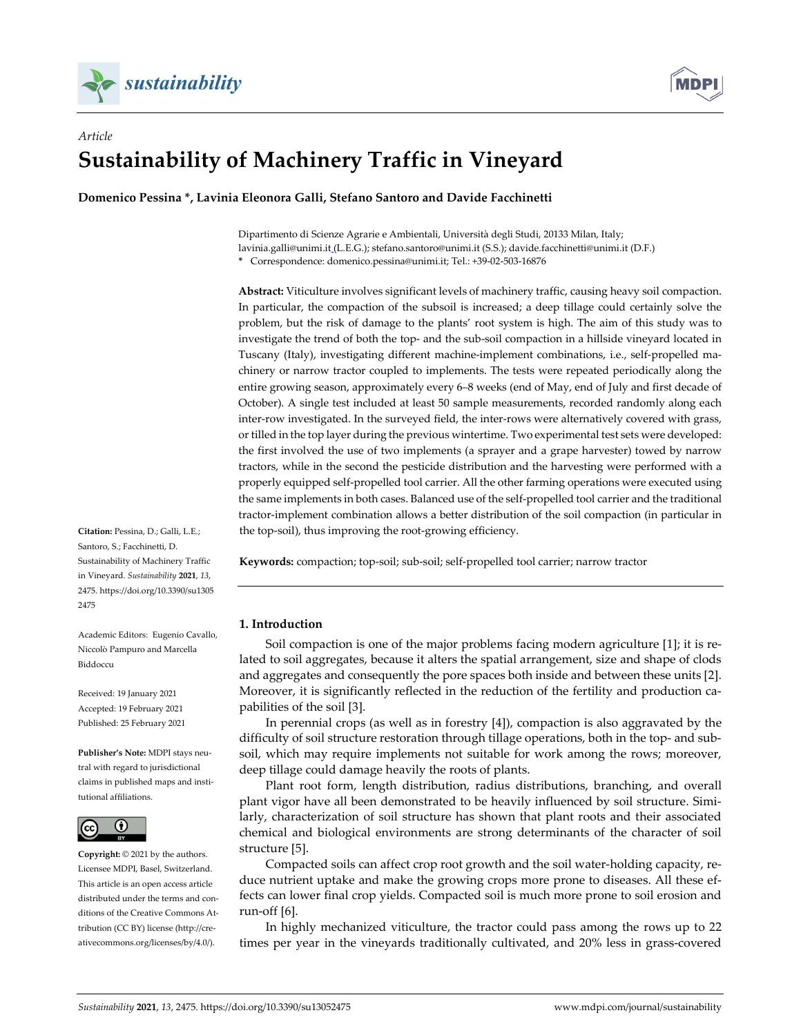



# *Article* **Sustainability of Machinery Traffic in Vineyard**

**Domenico Pessina \*, Lavinia Eleonora Galli, Stefano Santoro and Davide Facchinetti**

Dipartimento di Scienze Agrarie e Ambientali, Università degli Studi, 20133 Milan, Italy; lavinia.galli@unimi.it (L.E.G.); stefano.santoro@unimi.it (S.S.); davide.facchinetti@unimi.it (D.F.) **\*** Correspondence: domenico.pessina@unimi.it; Tel.: +39-02-503-16876

**Abstract:** Viticulture involves significant levels of machinery traffic, causing heavy soil compaction. In particular, the compaction of the subsoil is increased; a deep tillage could certainly solve the problem, but the risk of damage to the plants' root system is high. The aim of this study was to investigate the trend of both the top- and the sub-soil compaction in a hillside vineyard located in Tuscany (Italy), investigating different machine-implement combinations, i.e., self-propelled machinery or narrow tractor coupled to implements. The tests were repeated periodically along the entire growing season, approximately every 6–8 weeks (end of May, end of July and first decade of October). A single test included at least 50 sample measurements, recorded randomly along each inter-row investigated. In the surveyed field, the inter-rows were alternatively covered with grass, or tilled in the top layer during the previous wintertime. Two experimental test sets were developed: the first involved the use of two implements (a sprayer and a grape harvester) towed by narrow tractors, while in the second the pesticide distribution and the harvesting were performed with a properly equipped self-propelled tool carrier. All the other farming operations were executed using the same implements in both cases. Balanced use of the self-propelled tool carrier and the traditional tractor-implement combination allows a better distribution of the soil compaction (in particular in the top-soil), thus improving the root-growing efficiency.

**Keywords:** compaction; top-soil; sub-soil; self-propelled tool carrier; narrow tractor

## **1. Introduction**

Soil compaction is one of the major problems facing modern agriculture [1]; it is related to soil aggregates, because it alters the spatial arrangement, size and shape of clods and aggregates and consequently the pore spaces both inside and between these units [2]. Moreover, it is significantly reflected in the reduction of the fertility and production capabilities of the soil [3].

In perennial crops (as well as in forestry [4]), compaction is also aggravated by the difficulty of soil structure restoration through tillage operations, both in the top- and subsoil, which may require implements not suitable for work among the rows; moreover, deep tillage could damage heavily the roots of plants.

Plant root form, length distribution, radius distributions, branching, and overall plant vigor have all been demonstrated to be heavily influenced by soil structure. Similarly, characterization of soil structure has shown that plant roots and their associated chemical and biological environments are strong determinants of the character of soil structure [5].

Compacted soils can affect crop root growth and the soil water-holding capacity, reduce nutrient uptake and make the growing crops more prone to diseases. All these effects can lower final crop yields. Compacted soil is much more prone to soil erosion and run-off [6].

In highly mechanized viticulture, the tractor could pass among the rows up to 22 times per year in the vineyards traditionally cultivated, and 20% less in grass-covered

**Citation:** Pessina, D.; Galli, L.E.; Santoro, S.; Facchinetti, D. Sustainability of Machinery Traffic in Vineyard. *Sustainability* **2021**, *13*, 2475. https://doi.org/10.3390/su1305 2475

Academic Editors: Eugenio Cavallo, Niccolò Pampuro and Marcella Biddoccu

Received: 19 January 2021 Accepted: 19 February 2021 Published: 25 February 2021

**Publisher's Note:** MDPI stays neutral with regard to jurisdictional claims in published maps and institutional affiliations.



**Copyright:** © 2021 by the authors. Licensee MDPI, Basel, Switzerland. This article is an open access article distributed under the terms and conditions of the Creative Commons Attribution (CC BY) license (http://creativecommons.org/licenses/by/4.0/).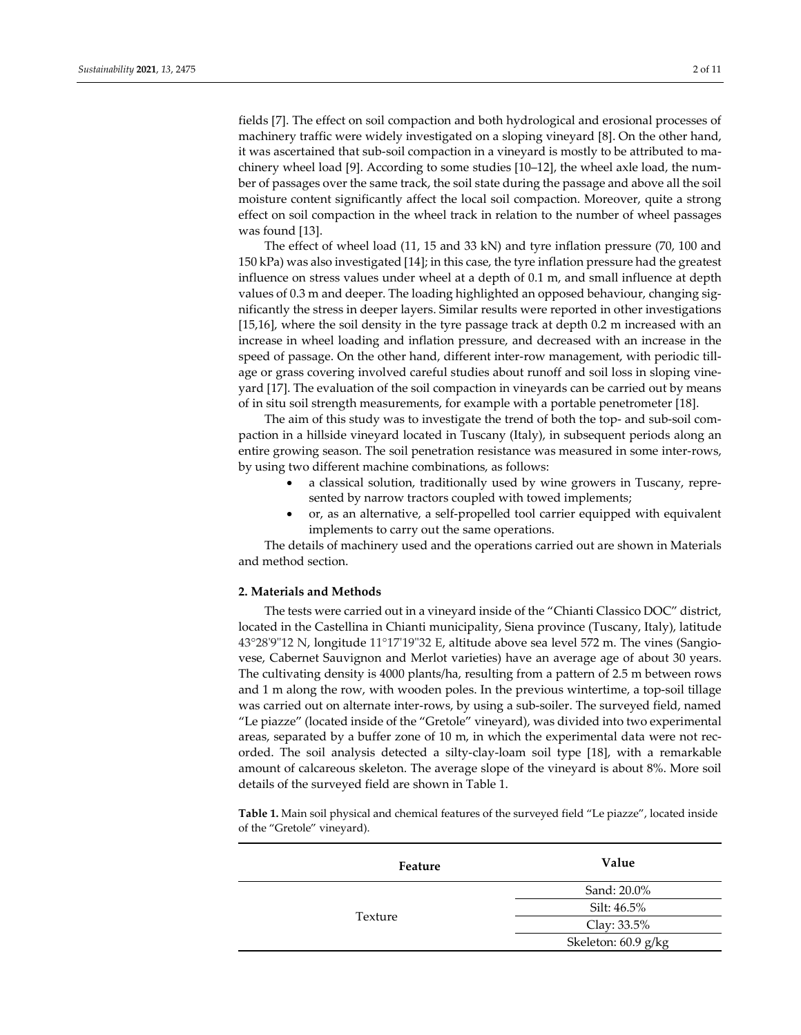fields [7]. The effect on soil compaction and both hydrological and erosional processes of machinery traffic were widely investigated on a sloping vineyard [8]. On the other hand, it was ascertained that sub-soil compaction in a vineyard is mostly to be attributed to machinery wheel load [9]. According to some studies [10–12], the wheel axle load, the number of passages over the same track, the soil state during the passage and above all the soil moisture content significantly affect the local soil compaction. Moreover, quite a strong effect on soil compaction in the wheel track in relation to the number of wheel passages was found [13].

The effect of wheel load (11, 15 and 33 kN) and tyre inflation pressure (70, 100 and 150 kPa) was also investigated [14]; in this case, the tyre inflation pressure had the greatest influence on stress values under wheel at a depth of 0.1 m, and small influence at depth values of 0.3 m and deeper. The loading highlighted an opposed behaviour, changing significantly the stress in deeper layers. Similar results were reported in other investigations [15,16], where the soil density in the tyre passage track at depth 0.2 m increased with an increase in wheel loading and inflation pressure, and decreased with an increase in the speed of passage. On the other hand, different inter-row management, with periodic tillage or grass covering involved careful studies about runoff and soil loss in sloping vineyard [17]. The evaluation of the soil compaction in vineyards can be carried out by means of in situ soil strength measurements, for example with a portable penetrometer [18].

The aim of this study was to investigate the trend of both the top- and sub-soil compaction in a hillside vineyard located in Tuscany (Italy), in subsequent periods along an entire growing season. The soil penetration resistance was measured in some inter-rows, by using two different machine combinations, as follows:

- a classical solution, traditionally used by wine growers in Tuscany, represented by narrow tractors coupled with towed implements;
- or, as an alternative, a self-propelled tool carrier equipped with equivalent implements to carry out the same operations.

The details of machinery used and the operations carried out are shown in Materials and method section.

# **2. Materials and Methods**

The tests were carried out in a vineyard inside of the "Chianti Classico DOC" district, located in the Castellina in Chianti municipality, Siena province (Tuscany, Italy), latitude 43°28'9"12 N, longitude 11°17'19"32 E, altitude above sea level 572 m. The vines (Sangiovese, Cabernet Sauvignon and Merlot varieties) have an average age of about 30 years. The cultivating density is 4000 plants/ha, resulting from a pattern of 2.5 m between rows and 1 m along the row, with wooden poles. In the previous wintertime, a top-soil tillage was carried out on alternate inter-rows, by using a sub-soiler. The surveyed field, named "Le piazze" (located inside of the "Gretole" vineyard), was divided into two experimental areas, separated by a buffer zone of 10 m, in which the experimental data were not recorded. The soil analysis detected a silty-clay-loam soil type [18], with a remarkable amount of calcareous skeleton. The average slope of the vineyard is about 8%. More soil details of the surveyed field are shown in Table 1.

**Table 1.** Main soil physical and chemical features of the surveyed field "Le piazze", located inside of the "Gretole" vineyard).

| Feature | Value               |  |  |  |  |
|---------|---------------------|--|--|--|--|
|         | Sand: 20.0%         |  |  |  |  |
|         | Silt: 46.5%         |  |  |  |  |
| Texture | Clay: 33.5%         |  |  |  |  |
|         | Skeleton: 60.9 g/kg |  |  |  |  |
|         |                     |  |  |  |  |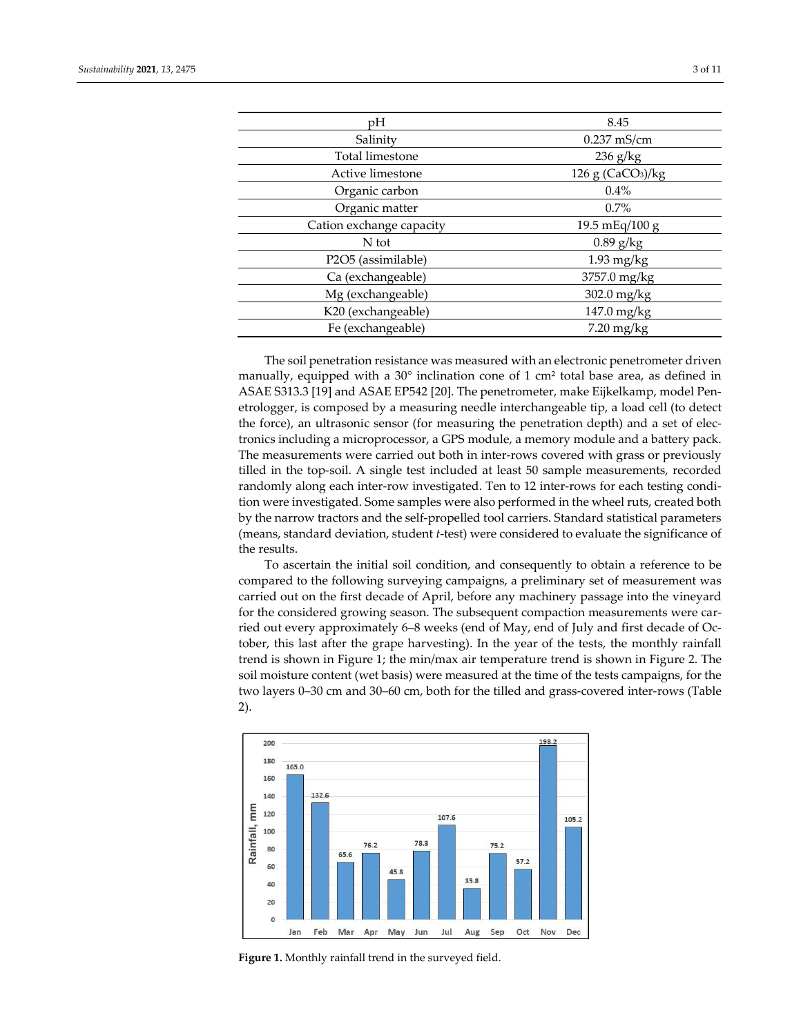| pH                       | 8.45                            |
|--------------------------|---------------------------------|
| Salinity                 | $0.237$ mS/cm                   |
| Total limestone          | $236$ g/kg                      |
| Active limestone         | $126$ g (CaCO <sub>3</sub> )/kg |
| Organic carbon           | 0.4%                            |
| Organic matter           | $0.7\%$                         |
| Cation exchange capacity | 19.5 mEq/100 g                  |
| N tot                    | $0.89$ g/kg                     |
| P2O5 (assimilable)       | $1.93$ mg/kg                    |
| Ca (exchangeable)        | 3757.0 mg/kg                    |
| Mg (exchangeable)        | 302.0 mg/kg                     |
| K20 (exchangeable)       | $147.0$ mg/kg                   |
| Fe (exchangeable)        | $7.20$ mg/kg                    |
|                          |                                 |

The soil penetration resistance was measured with an electronic penetrometer driven manually, equipped with a  $30^{\circ}$  inclination cone of 1 cm<sup>2</sup> total base area, as defined in ASAE S313.3 [19] and ASAE EP542 [20]. The penetrometer, make Eijkelkamp, model Penetrologger, is composed by a measuring needle interchangeable tip, a load cell (to detect the force), an ultrasonic sensor (for measuring the penetration depth) and a set of electronics including a microprocessor, a GPS module, a memory module and a battery pack. The measurements were carried out both in inter-rows covered with grass or previously tilled in the top-soil. A single test included at least 50 sample measurements, recorded randomly along each inter-row investigated. Ten to 12 inter-rows for each testing condition were investigated. Some samples were also performed in the wheel ruts, created both by the narrow tractors and the self-propelled tool carriers. Standard statistical parameters (means, standard deviation, student *t*-test) were considered to evaluate the significance of the results.

To ascertain the initial soil condition, and consequently to obtain a reference to be compared to the following surveying campaigns, a preliminary set of measurement was carried out on the first decade of April, before any machinery passage into the vineyard for the considered growing season. The subsequent compaction measurements were carried out every approximately 6–8 weeks (end of May, end of July and first decade of October, this last after the grape harvesting). In the year of the tests, the monthly rainfall trend is shown in Figure 1; the min/max air temperature trend is shown in Figure 2. The soil moisture content (wet basis) were measured at the time of the tests campaigns, for the two layers 0–30 cm and 30–60 cm, both for the tilled and grass-covered inter-rows (Table 2).



**Figure 1.** Monthly rainfall trend in the surveyed field.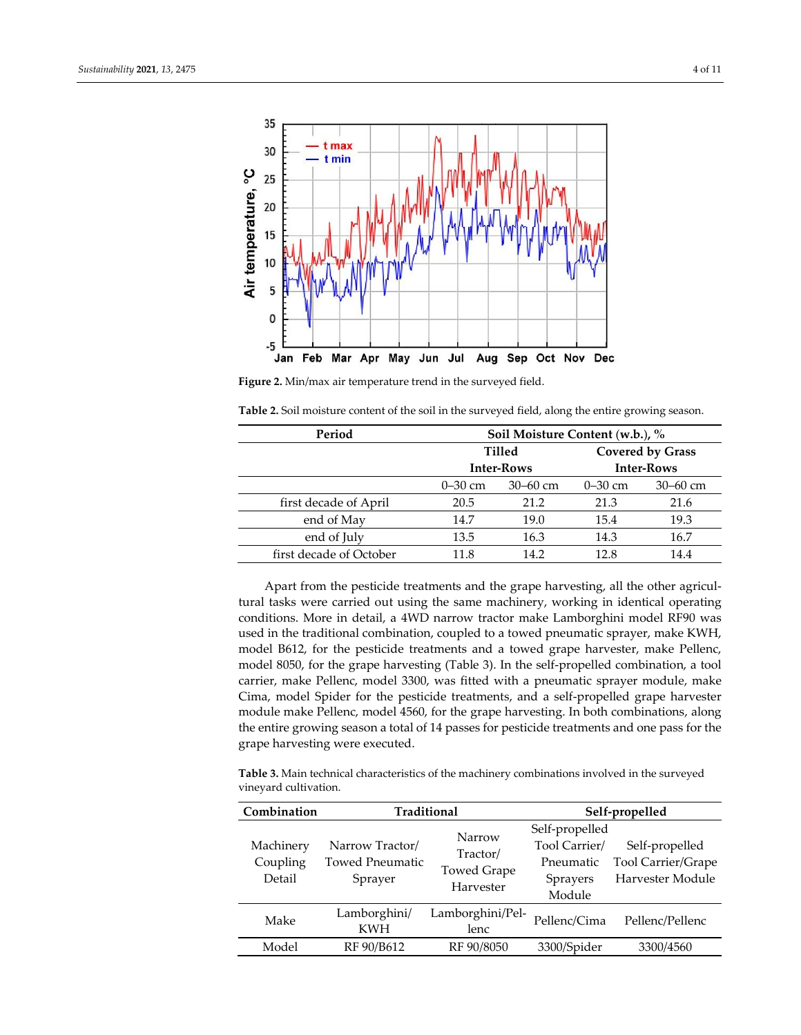



**Figure 2.** Min/max air temperature trend in the surveyed field.

**Table 2.** Soil moisture content of the soil in the surveyed field, along the entire growing season.

| Period                  |             | Soil Moisture Content (w.b.), % |                   |                         |  |  |  |  |  |  |  |
|-------------------------|-------------|---------------------------------|-------------------|-------------------------|--|--|--|--|--|--|--|
|                         |             | <b>Tilled</b>                   |                   | <b>Covered by Grass</b> |  |  |  |  |  |  |  |
|                         |             | <b>Inter-Rows</b>               | <b>Inter-Rows</b> |                         |  |  |  |  |  |  |  |
|                         | $0 - 30$ cm | $30 - 60$ cm                    | $0 - 30$ cm       | $30 - 60$ cm            |  |  |  |  |  |  |  |
| first decade of April   | 20.5        | 21.2                            | 21.3              | 21.6                    |  |  |  |  |  |  |  |
| end of May              | 14.7        | 19.0                            | 15.4              | 19.3                    |  |  |  |  |  |  |  |
| end of July             | 13.5        | 16.3                            | 14.3              | 16.7                    |  |  |  |  |  |  |  |
| first decade of October | 11.8        | 14.2                            | 12.8              | 14.4                    |  |  |  |  |  |  |  |

Apart from the pesticide treatments and the grape harvesting, all the other agricultural tasks were carried out using the same machinery, working in identical operating conditions. More in detail, a 4WD narrow tractor make Lamborghini model RF90 was used in the traditional combination, coupled to a towed pneumatic sprayer, make KWH, model B612, for the pesticide treatments and a towed grape harvester, make Pellenc, model 8050, for the grape harvesting (Table 3). In the self-propelled combination, a tool carrier, make Pellenc, model 3300, was fitted with a pneumatic sprayer module, make Cima, model Spider for the pesticide treatments, and a self-propelled grape harvester module make Pellenc, model 4560, for the grape harvesting. In both combinations, along the entire growing season a total of 14 passes for pesticide treatments and one pass for the grape harvesting were executed.

**Table 3.** Main technical characteristics of the machinery combinations involved in the surveyed vineyard cultivation.

| Combination                     | Traditional                                          |                                                       | Self-propelled                                                            |                                                          |  |  |  |
|---------------------------------|------------------------------------------------------|-------------------------------------------------------|---------------------------------------------------------------------------|----------------------------------------------------------|--|--|--|
| Machinery<br>Coupling<br>Detail | Narrow Tractor/<br><b>Towed Pneumatic</b><br>Sprayer | Narrow<br>Tractor/<br><b>Towed Grape</b><br>Harvester | Self-propelled<br>Tool Carrier/<br>Pneumatic<br><b>Sprayers</b><br>Module | Self-propelled<br>Tool Carrier/Grape<br>Harvester Module |  |  |  |
| Make                            | Lamborghini/<br><b>KWH</b>                           | Lamborghini/Pel-<br>lenc                              | Pellenc/Cima                                                              | Pellenc/Pellenc                                          |  |  |  |
| Model                           | RF 90/B612<br>RF 90/8050                             |                                                       | 3300/Spider                                                               | 3300/4560                                                |  |  |  |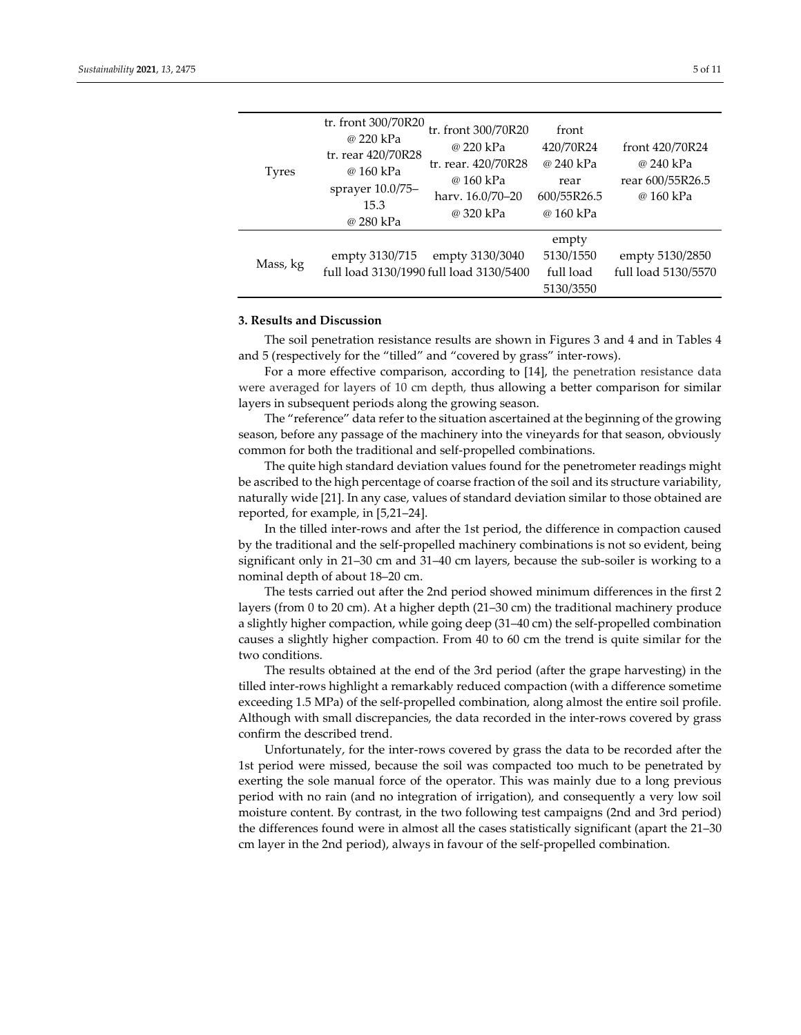| tr. front 300/70R20<br>tr. front 300/70R20<br>front<br>@ 220 kPa<br>420/70R24<br>@ 220 kPa<br>front 420/70R24<br>tr. rear 420/70R28<br>@ 240 kPa<br>tr. rear. 420/70R28<br>@ 240 kPa<br>@ 160 kPa<br><b>Tyres</b><br>@ 160 kPa<br>rear<br>sprayer 10.0/75-<br>600/55R26.5<br>@ 160 kPa<br>hary. 16.0/70-20<br>15.3<br>@ 320 kPa<br>@ 160 kPa<br>@ 280 kPa<br>empty<br>5130/1550<br>empty 3130/3040<br>empty 3130/715<br>Mass, kg<br>full load 3130/1990 full load 3130/5400<br>full load |  |  |                                        |
|------------------------------------------------------------------------------------------------------------------------------------------------------------------------------------------------------------------------------------------------------------------------------------------------------------------------------------------------------------------------------------------------------------------------------------------------------------------------------------------|--|--|----------------------------------------|
|                                                                                                                                                                                                                                                                                                                                                                                                                                                                                          |  |  | rear 600/55R26.5                       |
| 5130/3550                                                                                                                                                                                                                                                                                                                                                                                                                                                                                |  |  | empty 5130/2850<br>full load 5130/5570 |

#### **3. Results and Discussion**

The soil penetration resistance results are shown in Figures 3 and 4 and in Tables 4 and 5 (respectively for the "tilled" and "covered by grass" inter-rows).

For a more effective comparison, according to [14], the penetration resistance data were averaged for layers of 10 cm depth, thus allowing a better comparison for similar layers in subsequent periods along the growing season.

The "reference" data refer to the situation ascertained at the beginning of the growing season, before any passage of the machinery into the vineyards for that season, obviously common for both the traditional and self-propelled combinations.

The quite high standard deviation values found for the penetrometer readings might be ascribed to the high percentage of coarse fraction of the soil and its structure variability, naturally wide [21]. In any case, values of standard deviation similar to those obtained are reported, for example, in [5,21–24].

In the tilled inter-rows and after the 1st period, the difference in compaction caused by the traditional and the self-propelled machinery combinations is not so evident, being significant only in 21–30 cm and 31–40 cm layers, because the sub-soiler is working to a nominal depth of about 18–20 cm.

The tests carried out after the 2nd period showed minimum differences in the first 2 layers (from 0 to 20 cm). At a higher depth (21–30 cm) the traditional machinery produce a slightly higher compaction, while going deep (31–40 cm) the self-propelled combination causes a slightly higher compaction. From 40 to 60 cm the trend is quite similar for the two conditions.

The results obtained at the end of the 3rd period (after the grape harvesting) in the tilled inter-rows highlight a remarkably reduced compaction (with a difference sometime exceeding 1.5 MPa) of the self-propelled combination, along almost the entire soil profile. Although with small discrepancies, the data recorded in the inter-rows covered by grass confirm the described trend.

Unfortunately, for the inter-rows covered by grass the data to be recorded after the 1st period were missed, because the soil was compacted too much to be penetrated by exerting the sole manual force of the operator. This was mainly due to a long previous period with no rain (and no integration of irrigation), and consequently a very low soil moisture content. By contrast, in the two following test campaigns (2nd and 3rd period) the differences found were in almost all the cases statistically significant (apart the 21–30 cm layer in the 2nd period), always in favour of the self-propelled combination.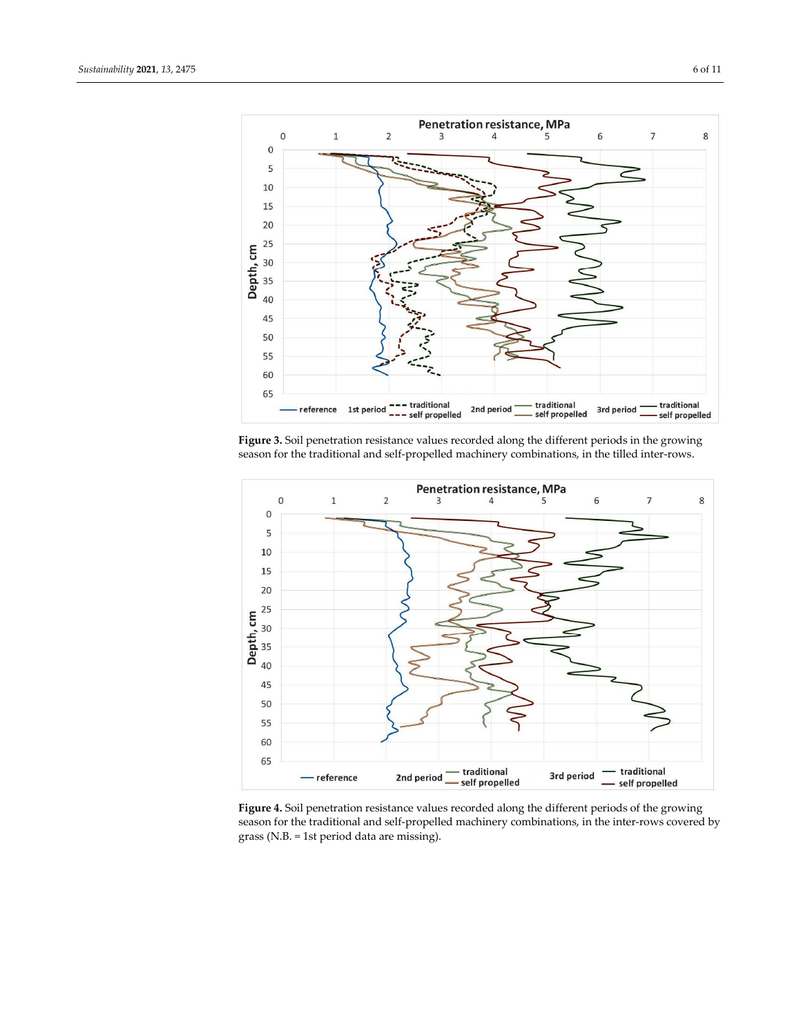

**Figure 3.** Soil penetration resistance values recorded along the different periods in the growing season for the traditional and self-propelled machinery combinations, in the tilled inter-rows.



**Figure 4.** Soil penetration resistance values recorded along the different periods of the growing season for the traditional and self-propelled machinery combinations, in the inter-rows covered by grass (N.B. = 1st period data are missing).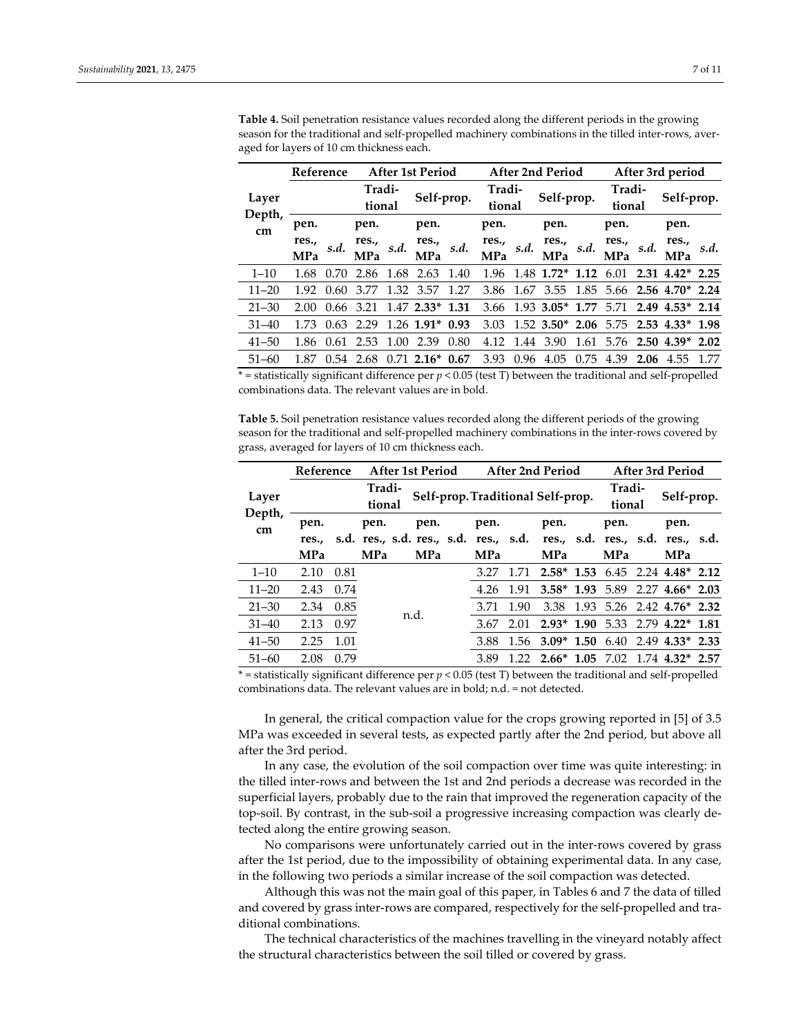|                 | Reference  |           |            |      | <b>After 1st Period</b>   |      |            |      | <b>After 2nd Period</b>                |            | After 3rd period      |        |                             |      |
|-----------------|------------|-----------|------------|------|---------------------------|------|------------|------|----------------------------------------|------------|-----------------------|--------|-----------------------------|------|
|                 |            |           | Tradi-     |      |                           |      | Tradi-     |      |                                        |            | Tradi-                |        |                             |      |
| Layer<br>Depth, |            |           | tional     |      | Self-prop.                |      | tional     |      |                                        | Self-prop. |                       | tional | Self-prop.                  |      |
| cm              | pen.       |           | pen.       |      | pen.                      |      | pen.       |      | pen.                                   |            | pen.                  |        | pen.                        |      |
|                 | res.,      | s.d.      | res.,      | s.d. | res.,                     | s.d. | res.,      | s.d. | res.,                                  | s.d.       | res.,                 | s.d.   | res.,                       | s.d. |
|                 | <b>MPa</b> |           | <b>MPa</b> |      | <b>MPa</b>                |      | <b>MPa</b> |      | <b>MPa</b>                             |            | <b>MPa</b>            |        | <b>MPa</b>                  |      |
| $1 - 10$        | 1.68       | 0.70      | 2.86       | 1.68 | 2.63                      | 1.40 | 1.96       |      | $1.48$ 1.72* 1.12                      |            | 6.01                  |        | $2.31$ $4.42^*$ 2.25        |      |
| $11 - 20$       | 1.92       | .60<br>0. | 3.77       | 1.32 | 3.57                      | 1.27 | 3.86       | 1.67 | 3.55                                   |            |                       |        | $1.85$ 5.66 2.56 4.70* 2.24 |      |
| $21 - 30$       | 2.00       | 0.66      | 3.21       |      | $1.47$ 2.33* 1.31         |      | 3.66       |      | $1.93$ 3.05* 1.77 5.71                 |            |                       |        | $2.49$ $4.53*$ $2.14$       |      |
| $31 - 40$       | 1.73       | 0.63      | 2.29       |      | $1.26$ 1.91*              | 0.93 | 3.03       |      | $1.52$ 3.50* 2.06 5.75 2.53 4.33* 1.98 |            |                       |        |                             |      |
| $41 - 50$       | 1.86       | 0.61      | 2.53       | 1.00 | 2.39                      | 0.80 | 4.12       | 1.44 | 3.90                                   | 1.61       | 5.76                  |        | $2.50$ 4.39* 2.02           |      |
| $51 - 60$       | 1.87       | 0.54      |            |      | $2.68$ 0.71 $2.16^*$ 0.67 |      | 3.93       | 0.96 | 4.05                                   |            | $0.75$ 4.39 2.06 4.55 |        |                             | 1.77 |

**Table 4.** Soil penetration resistance values recorded along the different periods in the growing season for the traditional and self-propelled machinery combinations in the tilled inter-rows, averaged for layers of 10 cm thickness each.

\* = statistically significant difference per *p* < 0.05 (test T) between the traditional and self-propelled combinations data. The relevant values are in bold.

**Table 5.** Soil penetration resistance values recorded along the different periods of the growing season for the traditional and self-propelled machinery combinations in the inter-rows covered by grass, averaged for layers of 10 cm thickness each.

|                 | Reference  |      |                                                                        | <b>After 1st Period</b><br><b>After 2nd Period</b><br><b>After 3rd Period</b> |  |            |      |                                   |      |                  |  |                                    |  |
|-----------------|------------|------|------------------------------------------------------------------------|-------------------------------------------------------------------------------|--|------------|------|-----------------------------------|------|------------------|--|------------------------------------|--|
| Layer<br>Depth, |            |      | Tradi-<br>tional                                                       |                                                                               |  |            |      | Self-prop. Traditional Self-prop. |      | Tradi-<br>tional |  | Self-prop.                         |  |
| cm              | pen.       |      | pen.                                                                   | pen.                                                                          |  | pen.       |      | pen.                              |      | pen.             |  | pen.                               |  |
|                 | res        |      | s.d. res., s.d. res., s.d. res., s.d. res., s.d. res., s.d. res., s.d. |                                                                               |  |            |      |                                   |      |                  |  |                                    |  |
|                 | <b>MPa</b> |      | <b>MPa</b>                                                             | <b>MPa</b>                                                                    |  | <b>MPa</b> |      | <b>MPa</b>                        |      | <b>MPa</b>       |  | <b>MPa</b>                         |  |
| $1 - 10$        | 2.10       | 0.81 |                                                                        |                                                                               |  | 3.27       | 1.71 | $2.58*$                           | 1.53 | 6.45             |  | 2.24 4.48* 2.12                    |  |
| $11 - 20$       | 2.43       | 0.74 |                                                                        |                                                                               |  | 4.26       | 1.91 |                                   |      |                  |  | $3.58^*$ 1.93 5.89 2.27 4.66* 2.03 |  |
| $21 - 30$       | 2.34       | 0.85 |                                                                        |                                                                               |  | 3.71       | 1.90 | 3.38                              |      |                  |  | 1.93 5.26 2.42 4.76* 2.32          |  |
| $31 - 40$       | 2.13       | 0.97 |                                                                        | n.d.                                                                          |  | 3.67       | 2.01 | $2.93*$                           | 1.90 | 5.33             |  | $2.79$ 4.22* 1.81                  |  |
| $41 - 50$       | 2.25       | 1.01 |                                                                        |                                                                               |  | 3.88       | 1.56 | $3.09*$                           | 1.50 | 6.40             |  | $2.49$ 4.33* 2.33                  |  |
| $51 - 60$       | 2.08       | 0.79 |                                                                        |                                                                               |  | 3.89       | 1 22 | $2.66*$ 1.05 7.02                 |      |                  |  | $1.74$ 4.32* 2.57                  |  |

\* = statistically significant difference per *p* < 0.05 (test T) between the traditional and self-propelled combinations data. The relevant values are in bold; n.d. = not detected.

In general, the critical compaction value for the crops growing reported in [5] of 3.5 MPa was exceeded in several tests, as expected partly after the 2nd period, but above all after the 3rd period.

In any case, the evolution of the soil compaction over time was quite interesting: in the tilled inter-rows and between the 1st and 2nd periods a decrease was recorded in the superficial layers, probably due to the rain that improved the regeneration capacity of the top-soil. By contrast, in the sub-soil a progressive increasing compaction was clearly detected along the entire growing season.

No comparisons were unfortunately carried out in the inter-rows covered by grass after the 1st period, due to the impossibility of obtaining experimental data. In any case, in the following two periods a similar increase of the soil compaction was detected.

Although this was not the main goal of this paper, in Tables 6 and 7 the data of tilled and covered by grass inter-rows are compared, respectively for the self-propelled and traditional combinations.

The technical characteristics of the machines travelling in the vineyard notably affect the structural characteristics between the soil tilled or covered by grass.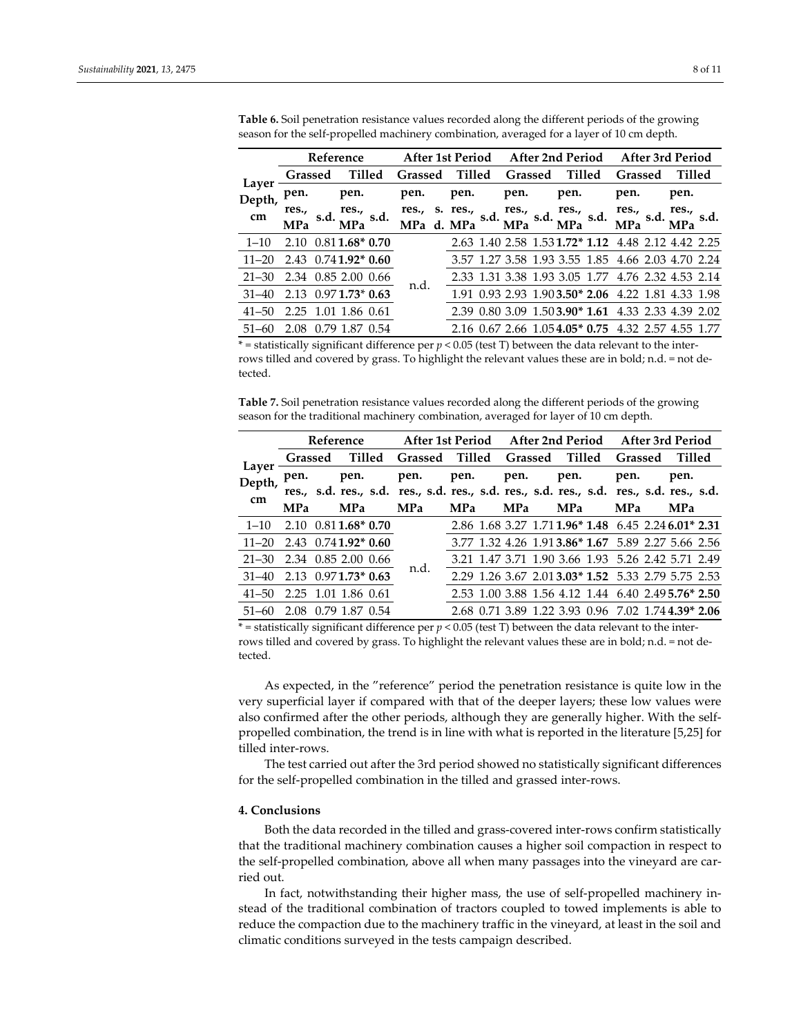|                             |            |      | Reference              | After 1st Period After 2nd Period After 3rd Period |  |      |        |            |         |            |        |                                                     |  |              |  |
|-----------------------------|------------|------|------------------------|----------------------------------------------------|--|------|--------|------------|---------|------------|--------|-----------------------------------------------------|--|--------------|--|
| Layer                       | Grassed    |      | Tilled                 | <b>Grassed</b>                                     |  |      | Tilled |            | Grassed |            | Tilled | <b>Grassed</b>                                      |  | Tilled       |  |
| .<br>Depth,                 | pen.       |      | pen.                   | pen.                                               |  | pen. |        | pen.       |         | pen.       |        | pen.                                                |  | pen.         |  |
| cm                          | res.,      | s.d. | res., $s.d.$           | res., s. res.,                                     |  |      | s.d.   |            |         |            |        | res., s.d. res., s.d. res., s.d.                    |  | res., $s.d.$ |  |
|                             | <b>MPa</b> |      | <b>MPa</b>             | MPa d. MPa                                         |  |      |        | <b>MPa</b> |         | <b>MPa</b> |        | <b>MPa</b>                                          |  | <b>MPa</b>   |  |
| $1 - 10$                    | 2.10       |      | $0.811.68*0.70$        |                                                    |  |      |        |            |         |            |        | 2.63 1.40 2.58 1.53 1.72* 1.12 4.48 2.12 4.42 2.25  |  |              |  |
| $11-20$ 2.43 0.741.92* 0.60 |            |      |                        |                                                    |  |      |        |            |         |            |        | 3.57 1.27 3.58 1.93 3.55 1.85 4.66 2.03 4.70 2.24   |  |              |  |
| $21 - 30$                   |            |      | 2.34 0.85 2.00 0.66    |                                                    |  |      |        |            |         |            |        | 2.33 1.31 3.38 1.93 3.05 1.77 4.76 2.32 4.53 2.14   |  |              |  |
| $31 - 40$                   |            |      | $2.13$ 0.97 1.73* 0.63 | n.d.                                               |  |      |        |            |         |            |        | 1.91 0.93 2.93 1.90 3.50* 2.06 4.22 1.81 4.33 1.98  |  |              |  |
| $41 - 50$                   | 2.25       |      | 1.01 1.86 0.61         |                                                    |  |      |        |            |         |            |        | 2.39 0.80 3.09 1.50 3.90* 1.61 4.33 2.33 4.39 2.02  |  |              |  |
| $51 - 60$                   | 2.08       |      | 0.79 1.87 0.54         |                                                    |  |      |        |            |         |            |        | 2.16 0.67 2.66 1.05 4.05 * 0.75 4.32 2.57 4.55 1.77 |  |              |  |
|                             |            |      |                        |                                                    |  |      |        |            |         |            |        |                                                     |  |              |  |

**Table 6.** Soil penetration resistance values recorded along the different periods of the growing season for the self-propelled machinery combination, averaged for a layer of 10 cm depth.

 $*$  = statistically significant difference per  $p$  < 0.05 (test T) between the data relevant to the interrows tilled and covered by grass. To highlight the relevant values these are in bold; n.d. = not detected.

**Table 7.** Soil penetration resistance values recorded along the different periods of the growing season for the traditional machinery combination, averaged for layer of 10 cm depth.

|                             |                     |                     |  |                                                      | Reference After 1st Period After 2nd Period After 3rd Period |            |  |            |  |                                                     |  |            |  |
|-----------------------------|---------------------|---------------------|--|------------------------------------------------------|--------------------------------------------------------------|------------|--|------------|--|-----------------------------------------------------|--|------------|--|
|                             |                     |                     |  | Grassed Tilled Grassed Tilled Grassed Tilled Grassed |                                                              |            |  |            |  |                                                     |  | Tilled     |  |
| Layer<br>Depth,             |                     |                     |  |                                                      |                                                              |            |  |            |  |                                                     |  |            |  |
| cm                          |                     |                     |  |                                                      |                                                              |            |  |            |  |                                                     |  |            |  |
|                             | <b>MPa</b>          | <b>MPa</b>          |  | <b>MPa</b>                                           | <b>MPa</b>                                                   | <b>MPa</b> |  | <b>MPa</b> |  | <b>MPa</b>                                          |  | <b>MPa</b> |  |
| $1 - 10$                    | 2.10 0.811.68* 0.70 |                     |  |                                                      |                                                              |            |  |            |  | 2.86 1.68 3.27 1.71 1.96* 1.48 6.45 2.24 6.01* 2.31 |  |            |  |
| $11-20$ 2.43 0.741.92* 0.60 |                     |                     |  |                                                      |                                                              |            |  |            |  | 3.77 1.32 4.26 1.91 3.86* 1.67 5.89 2.27 5.66 2.56  |  |            |  |
| 21-30 2.34 0.85 2.00 0.66   |                     |                     |  |                                                      |                                                              |            |  |            |  | 3.21 1.47 3.71 1.90 3.66 1.93 5.26 2.42 5.71 2.49   |  |            |  |
| 31-40 2.13 0.971.73* 0.63   |                     |                     |  | n.d.                                                 |                                                              |            |  |            |  | 2.29 1.26 3.67 2.01 3.03* 1.52 5.33 2.79 5.75 2.53  |  |            |  |
| $41 - 50$                   | 2.25 1.01 1.86 0.61 |                     |  |                                                      |                                                              |            |  |            |  | 2.53 1.00 3.88 1.56 4.12 1.44 6.40 2.495.76* 2.50   |  |            |  |
| $51 - 60$                   |                     | 2.08 0.79 1.87 0.54 |  |                                                      |                                                              |            |  |            |  | 2.68 0.71 3.89 1.22 3.93 0.96 7.02 1.74 4.39* 2.06  |  |            |  |

 $*$  = statistically significant difference per  $p < 0.05$  (test T) between the data relevant to the interrows tilled and covered by grass. To highlight the relevant values these are in bold; n.d. = not detected.

As expected, in the "reference" period the penetration resistance is quite low in the very superficial layer if compared with that of the deeper layers; these low values were also confirmed after the other periods, although they are generally higher. With the selfpropelled combination, the trend is in line with what is reported in the literature [5,25] for tilled inter-rows.

The test carried out after the 3rd period showed no statistically significant differences for the self-propelled combination in the tilled and grassed inter-rows.

## **4. Conclusions**

Both the data recorded in the tilled and grass-covered inter-rows confirm statistically that the traditional machinery combination causes a higher soil compaction in respect to the self-propelled combination, above all when many passages into the vineyard are carried out.

In fact, notwithstanding their higher mass, the use of self-propelled machinery instead of the traditional combination of tractors coupled to towed implements is able to reduce the compaction due to the machinery traffic in the vineyard, at least in the soil and climatic conditions surveyed in the tests campaign described.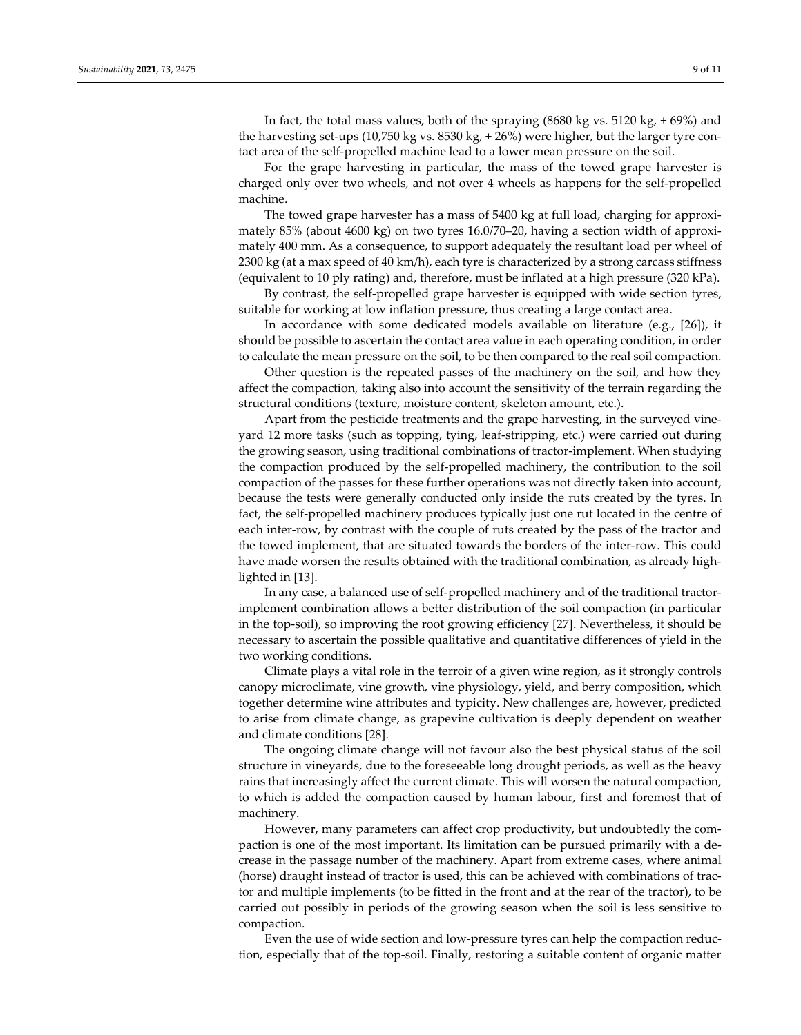In fact, the total mass values, both of the spraying  $(8680 \text{ kg vs. } 5120 \text{ kg}, +69\%)$  and the harvesting set-ups (10,750 kg vs. 8530 kg, + 26%) were higher, but the larger tyre contact area of the self-propelled machine lead to a lower mean pressure on the soil.

For the grape harvesting in particular, the mass of the towed grape harvester is charged only over two wheels, and not over 4 wheels as happens for the self-propelled machine.

The towed grape harvester has a mass of 5400 kg at full load, charging for approximately 85% (about 4600 kg) on two tyres 16.0/70–20, having a section width of approximately 400 mm. As a consequence, to support adequately the resultant load per wheel of 2300 kg (at a max speed of 40 km/h), each tyre is characterized by a strong carcass stiffness (equivalent to 10 ply rating) and, therefore, must be inflated at a high pressure (320 kPa).

By contrast, the self-propelled grape harvester is equipped with wide section tyres, suitable for working at low inflation pressure, thus creating a large contact area.

In accordance with some dedicated models available on literature (e.g., [26]), it should be possible to ascertain the contact area value in each operating condition, in order to calculate the mean pressure on the soil, to be then compared to the real soil compaction.

Other question is the repeated passes of the machinery on the soil, and how they affect the compaction, taking also into account the sensitivity of the terrain regarding the structural conditions (texture, moisture content, skeleton amount, etc.).

Apart from the pesticide treatments and the grape harvesting, in the surveyed vineyard 12 more tasks (such as topping, tying, leaf-stripping, etc.) were carried out during the growing season, using traditional combinations of tractor-implement. When studying the compaction produced by the self-propelled machinery, the contribution to the soil compaction of the passes for these further operations was not directly taken into account, because the tests were generally conducted only inside the ruts created by the tyres. In fact, the self-propelled machinery produces typically just one rut located in the centre of each inter-row, by contrast with the couple of ruts created by the pass of the tractor and the towed implement, that are situated towards the borders of the inter-row. This could have made worsen the results obtained with the traditional combination, as already highlighted in [13].

In any case, a balanced use of self-propelled machinery and of the traditional tractorimplement combination allows a better distribution of the soil compaction (in particular in the top-soil), so improving the root growing efficiency [27]. Nevertheless, it should be necessary to ascertain the possible qualitative and quantitative differences of yield in the two working conditions.

Climate plays a vital role in the terroir of a given wine region, as it strongly controls canopy microclimate, vine growth, vine physiology, yield, and berry composition, which together determine wine attributes and typicity. New challenges are, however, predicted to arise from climate change, as grapevine cultivation is deeply dependent on weather and climate conditions [28].

The ongoing climate change will not favour also the best physical status of the soil structure in vineyards, due to the foreseeable long drought periods, as well as the heavy rains that increasingly affect the current climate. This will worsen the natural compaction, to which is added the compaction caused by human labour, first and foremost that of machinery.

However, many parameters can affect crop productivity, but undoubtedly the compaction is one of the most important. Its limitation can be pursued primarily with a decrease in the passage number of the machinery. Apart from extreme cases, where animal (horse) draught instead of tractor is used, this can be achieved with combinations of tractor and multiple implements (to be fitted in the front and at the rear of the tractor), to be carried out possibly in periods of the growing season when the soil is less sensitive to compaction.

Even the use of wide section and low-pressure tyres can help the compaction reduction, especially that of the top-soil. Finally, restoring a suitable content of organic matter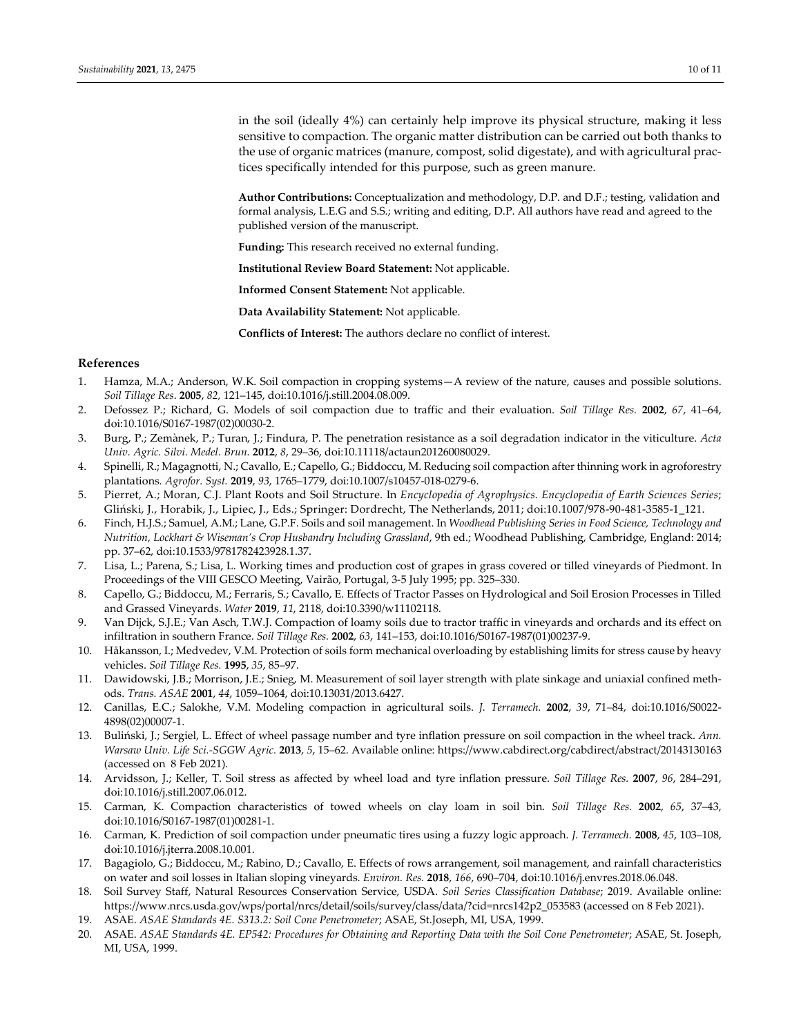in the soil (ideally 4%) can certainly help improve its physical structure, making it less sensitive to compaction. The organic matter distribution can be carried out both thanks to the use of organic matrices (manure, compost, solid digestate), and with agricultural practices specifically intended for this purpose, such as green manure.

**Author Contributions:** Conceptualization and methodology, D.P. and D.F.; testing, validation and formal analysis, L.E.G and S.S.; writing and editing, D.P. All authors have read and agreed to the published version of the manuscript.

**Funding:** This research received no external funding.

**Institutional Review Board Statement:** Not applicable.

**Informed Consent Statement:** Not applicable.

**Data Availability Statement:** Not applicable.

**Conflicts of Interest:** The authors declare no conflict of interest.

### **References**

- 1. Hamza, M.A.; Anderson, W.K. Soil compaction in cropping systems—A review of the nature, causes and possible solutions. *Soil Tillage Res*. **2005**, *82,* 121–145, doi:10.1016/j.still.2004.08.009.
- 2. Defossez P.; Richard, G. Models of soil compaction due to traffic and their evaluation. *Soil Tillage Res.* **2002**, *67*, 41–64, doi:10.1016/S0167-1987(02)00030-2.
- 3. Burg, P.; Zemànek, P.; Turan, J.; Findura, P. The penetration resistance as a soil degradation indicator in the viticulture. *Acta Univ. Agric. Silvi. Medel. Brun.* **2012**, *8*, 29–36, doi:10.11118/actaun201260080029.
- 4. Spinelli, R.; Magagnotti, N.; Cavallo, E.; Capello, G.; Biddoccu, M. Reducing soil compaction after thinning work in agroforestry plantations. *Agrofor. Syst.* **2019**, *93*, 1765–1779, doi:10.1007/s10457-018-0279-6.
- 5. Pierret, A.; Moran, C.J. Plant Roots and Soil Structure. In *Encyclopedia of Agrophysics. Encyclopedia of Earth Sciences Series*; Gliński, J., Horabik, J., Lipiec, J., Eds.; Springer: Dordrecht, The Netherlands, 2011; doi:10.1007/978-90-481-3585-1\_121.
- 6. Finch, H.J.S.; Samuel, A.M.; Lane, G.P.F. Soils and soil management. In *Woodhead Publishing Series in Food Science, Technology and Nutrition, Lockhart & Wiseman's Crop Husbandry Including Grassland*, 9th ed.; Woodhead Publishing, Cambridge, England: 2014; pp. 37–62, doi:10.1533/9781782423928.1.37.
- 7. Lisa, L.; Parena, S.; Lisa, L. Working times and production cost of grapes in grass covered or tilled vineyards of Piedmont. In Proceedings of the VIII GESCO Meeting, Vairão, Portugal, 3-5 July 1995; pp. 325–330.
- 8. Capello, G.; Biddoccu, M.; Ferraris, S.; Cavallo, E. Effects of Tractor Passes on Hydrological and Soil Erosion Processes in Tilled and Grassed Vineyards. *Water* **2019**, *11*, 2118, doi:10.3390/w11102118.
- 9. Van Dijck, S.J.E.; Van Asch, T.W.J. Compaction of loamy soils due to tractor traffic in vineyards and orchards and its effect on infiltration in southern France. *Soil Tillage Res.* **2002**, *63*, 141–153, doi:10.1016/S0167-1987(01)00237-9.
- 10. Håkansson, I.; Medvedev, V.M. Protection of soils form mechanical overloading by establishing limits for stress cause by heavy vehicles. *Soil Tillage Res.* **1995**, *35*, 85–97.
- 11. Dawidowski, J.B.; Morrison, J.E.; Snieg, M. Measurement of soil layer strength with plate sinkage and uniaxial confined methods. *Trans. ASAE* **2001**, *44*, 1059–1064, doi:10.13031/2013.6427.
- 12. Canillas, E.C.; Salokhe, V.M. Modeling compaction in agricultural soils. *J. Terramech.* **2002**, *39*, 71*–*84, doi:10.1016/S0022- 4898(02)00007-1.
- 13. Buliński, J.; Sergiel, L. Effect of wheel passage number and tyre inflation pressure on soil compaction in the wheel track. *Ann. Warsaw Univ. Life Sci.-SGGW Agric.* **2013**, *5*, 15–62. Available online: https://www.cabdirect.org/cabdirect/abstract/20143130163 (accessed on 8 Feb 2021).
- 14. Arvidsson, J.; Keller, T. Soil stress as affected by wheel load and tyre inflation pressure. *Soil Tillage Res.* **2007**, *96*, 284–291, doi:10.1016/j.still.2007.06.012.
- 15. Carman, K. Compaction characteristics of towed wheels on clay loam in soil bin. *Soil Tillage Res.* **2002**, *65*, 37–43, doi:10.1016/S0167-1987(01)00281-1.
- 16. Carman, K. Prediction of soil compaction under pneumatic tires using a fuzzy logic approach. *J. Terramech.* **2008**, *45*, 103–108, doi:10.1016/j.jterra.2008.10.001.
- 17. Bagagiolo, G.; Biddoccu, M.; Rabino, D.; Cavallo, E. Effects of rows arrangement, soil management, and rainfall characteristics on water and soil losses in Italian sloping vineyards. *Environ. Res.* **2018**, *166*, 690–704, doi:10.1016/j.envres.2018.06.048.
- 18. Soil Survey Staff, Natural Resources Conservation Service, USDA. *Soil Series Classification Database*; 2019. Available online: https://www.nrcs.usda.gov/wps/portal/nrcs/detail/soils/survey/class/data/?cid=nrcs142p2\_053583 (accessed on 8 Feb 2021).
- 19. ASAE. *ASAE Standards 4E. S313.2: Soil Cone Penetrometer*; ASAE, St.Joseph, MI, USA, 1999.
- 20. ASAE. *ASAE Standards 4E. EP542: Procedures for Obtaining and Reporting Data with the Soil Cone Penetrometer*; ASAE, St. Joseph, MI, USA, 1999.